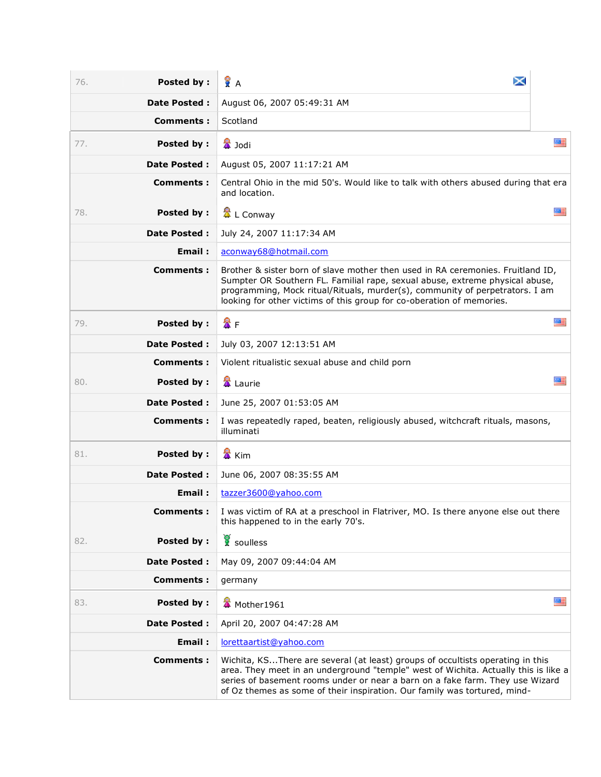| Posted by:<br>76.        | ×<br>Ϋ́Α                                                                                                                                                                                                                                                                                                                            |    |
|--------------------------|-------------------------------------------------------------------------------------------------------------------------------------------------------------------------------------------------------------------------------------------------------------------------------------------------------------------------------------|----|
| <b>Date Posted:</b>      | August 06, 2007 05:49:31 AM                                                                                                                                                                                                                                                                                                         |    |
| Comments :               | Scotland                                                                                                                                                                                                                                                                                                                            |    |
| Posted by:<br>77.        | <b>■</b> Jodi                                                                                                                                                                                                                                                                                                                       | 雁  |
| <b>Date Posted:</b>      | August 05, 2007 11:17:21 AM                                                                                                                                                                                                                                                                                                         |    |
| Comments:                | Central Ohio in the mid 50's. Would like to talk with others abused during that era<br>and location.                                                                                                                                                                                                                                |    |
| Posted by :<br>78.       | 盘 L Conway                                                                                                                                                                                                                                                                                                                          | ■  |
| <b>Date Posted:</b>      | July 24, 2007 11:17:34 AM                                                                                                                                                                                                                                                                                                           |    |
| Email:                   | aconway68@hotmail.com                                                                                                                                                                                                                                                                                                               |    |
| <b>Comments:</b>         | Brother & sister born of slave mother then used in RA ceremonies. Fruitland ID,<br>Sumpter OR Southern FL. Familial rape, sexual abuse, extreme physical abuse,<br>programming, Mock ritual/Rituals, murder(s), community of perpetrators. I am<br>looking for other victims of this group for co-oberation of memories.            |    |
| <b>Posted by:</b><br>79. | 魯日                                                                                                                                                                                                                                                                                                                                  | 医三 |
| <b>Date Posted:</b>      | July 03, 2007 12:13:51 AM                                                                                                                                                                                                                                                                                                           |    |
| <b>Comments:</b>         | Violent ritualistic sexual abuse and child porn                                                                                                                                                                                                                                                                                     |    |
| Posted by :<br>80.       | <b>&amp;</b> Laurie                                                                                                                                                                                                                                                                                                                 | ※三 |
| <b>Date Posted:</b>      | June 25, 2007 01:53:05 AM                                                                                                                                                                                                                                                                                                           |    |
| Comments:                | I was repeatedly raped, beaten, religiously abused, witchcraft rituals, masons,<br>illuminati                                                                                                                                                                                                                                       |    |
| Posted by:<br>81.        | <mark>★ Kim</mark>                                                                                                                                                                                                                                                                                                                  |    |
| <b>Date Posted:</b>      | June 06, 2007 08:35:55 AM                                                                                                                                                                                                                                                                                                           |    |
| Email:                   | tazzer3600@yahoo.com                                                                                                                                                                                                                                                                                                                |    |
| <b>Comments:</b>         | I was victim of RA at a preschool in Flatriver, MO. Is there anyone else out there<br>this happened to in the early 70's.                                                                                                                                                                                                           |    |
| Posted by:<br>82.        | soulless                                                                                                                                                                                                                                                                                                                            |    |
| <b>Date Posted:</b>      | May 09, 2007 09:44:04 AM                                                                                                                                                                                                                                                                                                            |    |
| <b>Comments:</b>         | germany                                                                                                                                                                                                                                                                                                                             |    |
| Posted by:<br>83.        | Mother1961                                                                                                                                                                                                                                                                                                                          | 盛居 |
| <b>Date Posted:</b>      | April 20, 2007 04:47:28 AM                                                                                                                                                                                                                                                                                                          |    |
| Email:                   | lorettaartist@yahoo.com                                                                                                                                                                                                                                                                                                             |    |
| Comments:                | Wichita, KSThere are several (at least) groups of occultists operating in this<br>area. They meet in an underground "temple" west of Wichita. Actually this is like a<br>series of basement rooms under or near a barn on a fake farm. They use Wizard<br>of Oz themes as some of their inspiration. Our family was tortured, mind- |    |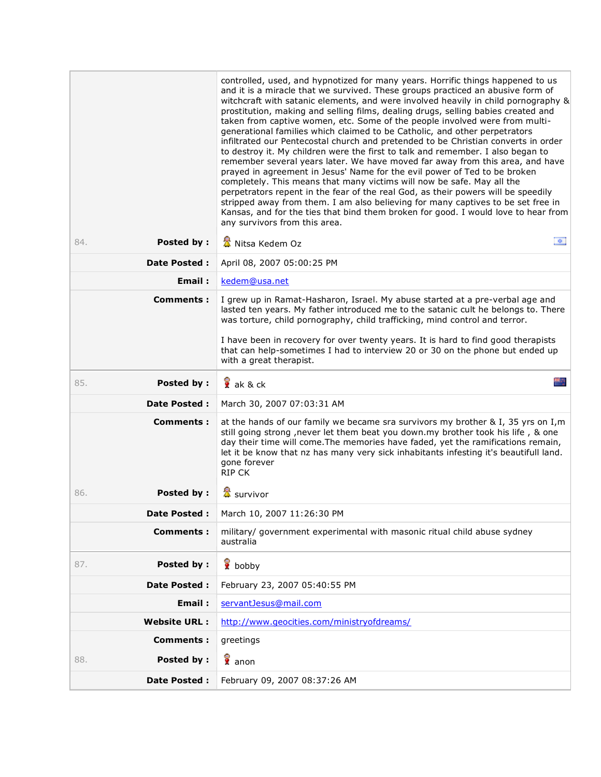|                          | controlled, used, and hypnotized for many years. Horrific things happened to us<br>and it is a miracle that we survived. These groups practiced an abusive form of<br>witchcraft with satanic elements, and were involved heavily in child pornography &<br>prostitution, making and selling films, dealing drugs, selling babies created and<br>taken from captive women, etc. Some of the people involved were from multi-<br>generational families which claimed to be Catholic, and other perpetrators<br>infiltrated our Pentecostal church and pretended to be Christian converts in order<br>to destroy it. My children were the first to talk and remember. I also began to<br>remember several years later. We have moved far away from this area, and have<br>prayed in agreement in Jesus' Name for the evil power of Ted to be broken<br>completely. This means that many victims will now be safe. May all the<br>perpetrators repent in the fear of the real God, as their powers will be speedily<br>stripped away from them. I am also believing for many captives to be set free in<br>Kansas, and for the ties that bind them broken for good. I would love to hear from<br>any survivors from this area. |  |
|--------------------------|-----------------------------------------------------------------------------------------------------------------------------------------------------------------------------------------------------------------------------------------------------------------------------------------------------------------------------------------------------------------------------------------------------------------------------------------------------------------------------------------------------------------------------------------------------------------------------------------------------------------------------------------------------------------------------------------------------------------------------------------------------------------------------------------------------------------------------------------------------------------------------------------------------------------------------------------------------------------------------------------------------------------------------------------------------------------------------------------------------------------------------------------------------------------------------------------------------------------------------|--|
| Posted by:<br>84.        | 幸<br>Nitsa Kedem Oz                                                                                                                                                                                                                                                                                                                                                                                                                                                                                                                                                                                                                                                                                                                                                                                                                                                                                                                                                                                                                                                                                                                                                                                                         |  |
| <b>Date Posted:</b>      | April 08, 2007 05:00:25 PM                                                                                                                                                                                                                                                                                                                                                                                                                                                                                                                                                                                                                                                                                                                                                                                                                                                                                                                                                                                                                                                                                                                                                                                                  |  |
| Email:                   | kedem@usa.net                                                                                                                                                                                                                                                                                                                                                                                                                                                                                                                                                                                                                                                                                                                                                                                                                                                                                                                                                                                                                                                                                                                                                                                                               |  |
| Comments:                | I grew up in Ramat-Hasharon, Israel. My abuse started at a pre-verbal age and<br>lasted ten years. My father introduced me to the satanic cult he belongs to. There<br>was torture, child pornography, child trafficking, mind control and terror.<br>I have been in recovery for over twenty years. It is hard to find good therapists<br>that can help-sometimes I had to interview 20 or 30 on the phone but ended up<br>with a great therapist.                                                                                                                                                                                                                                                                                                                                                                                                                                                                                                                                                                                                                                                                                                                                                                         |  |
| Posted by:<br>85.        | ak & ck                                                                                                                                                                                                                                                                                                                                                                                                                                                                                                                                                                                                                                                                                                                                                                                                                                                                                                                                                                                                                                                                                                                                                                                                                     |  |
| <b>Date Posted:</b>      | March 30, 2007 07:03:31 AM                                                                                                                                                                                                                                                                                                                                                                                                                                                                                                                                                                                                                                                                                                                                                                                                                                                                                                                                                                                                                                                                                                                                                                                                  |  |
| Comments:                | at the hands of our family we became sra survivors my brother & I, 35 yrs on I,m<br>still going strong , never let them beat you down.my brother took his life, & one<br>day their time will come. The memories have faded, yet the ramifications remain,<br>let it be know that nz has many very sick inhabitants infesting it's beautifull land.<br>gone forever<br><b>RIP CK</b>                                                                                                                                                                                                                                                                                                                                                                                                                                                                                                                                                                                                                                                                                                                                                                                                                                         |  |
| 86.<br><b>Posted by:</b> | <mark>公</mark> survivor                                                                                                                                                                                                                                                                                                                                                                                                                                                                                                                                                                                                                                                                                                                                                                                                                                                                                                                                                                                                                                                                                                                                                                                                     |  |
| Date Posted:             | March 10, 2007 11:26:30 PM                                                                                                                                                                                                                                                                                                                                                                                                                                                                                                                                                                                                                                                                                                                                                                                                                                                                                                                                                                                                                                                                                                                                                                                                  |  |
| <b>Comments:</b>         | military/ government experimental with masonic ritual child abuse sydney<br>australia                                                                                                                                                                                                                                                                                                                                                                                                                                                                                                                                                                                                                                                                                                                                                                                                                                                                                                                                                                                                                                                                                                                                       |  |
| <b>Posted by:</b><br>87. | <b>v</b> bobby                                                                                                                                                                                                                                                                                                                                                                                                                                                                                                                                                                                                                                                                                                                                                                                                                                                                                                                                                                                                                                                                                                                                                                                                              |  |
| <b>Date Posted:</b>      | February 23, 2007 05:40:55 PM                                                                                                                                                                                                                                                                                                                                                                                                                                                                                                                                                                                                                                                                                                                                                                                                                                                                                                                                                                                                                                                                                                                                                                                               |  |
| Email:                   | servantJesus@mail.com                                                                                                                                                                                                                                                                                                                                                                                                                                                                                                                                                                                                                                                                                                                                                                                                                                                                                                                                                                                                                                                                                                                                                                                                       |  |
| <b>Website URL:</b>      | http://www.geocities.com/ministryofdreams/                                                                                                                                                                                                                                                                                                                                                                                                                                                                                                                                                                                                                                                                                                                                                                                                                                                                                                                                                                                                                                                                                                                                                                                  |  |
| <b>Comments:</b>         | greetings                                                                                                                                                                                                                                                                                                                                                                                                                                                                                                                                                                                                                                                                                                                                                                                                                                                                                                                                                                                                                                                                                                                                                                                                                   |  |
| <b>Posted by:</b><br>88. | anon                                                                                                                                                                                                                                                                                                                                                                                                                                                                                                                                                                                                                                                                                                                                                                                                                                                                                                                                                                                                                                                                                                                                                                                                                        |  |
| Date Posted :            | February 09, 2007 08:37:26 AM                                                                                                                                                                                                                                                                                                                                                                                                                                                                                                                                                                                                                                                                                                                                                                                                                                                                                                                                                                                                                                                                                                                                                                                               |  |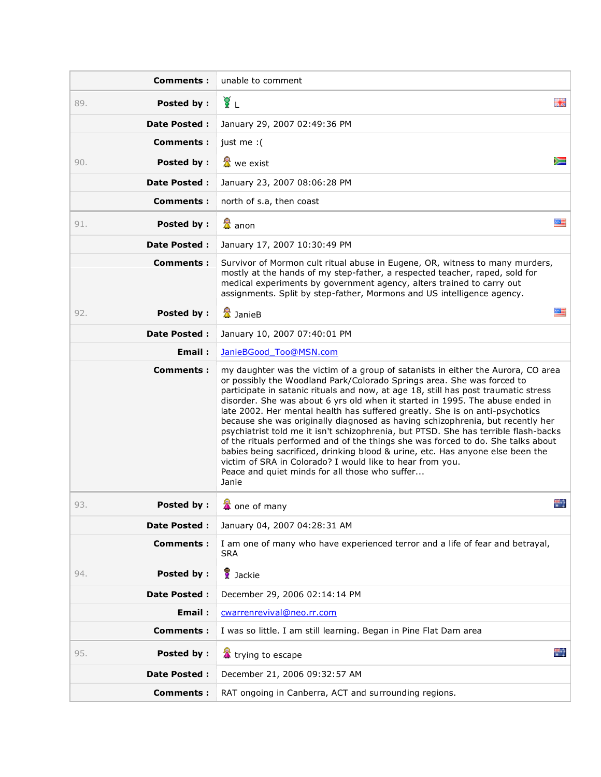| <b>Comments:</b>         | unable to comment                                                                                                                                                                                                                                                                                                                                                                                                                                                                                                                                                                                                                                                                                                                                                                                                                                                                        |
|--------------------------|------------------------------------------------------------------------------------------------------------------------------------------------------------------------------------------------------------------------------------------------------------------------------------------------------------------------------------------------------------------------------------------------------------------------------------------------------------------------------------------------------------------------------------------------------------------------------------------------------------------------------------------------------------------------------------------------------------------------------------------------------------------------------------------------------------------------------------------------------------------------------------------|
| Posted by:<br>89.        | γŽΙ<br>医鼻                                                                                                                                                                                                                                                                                                                                                                                                                                                                                                                                                                                                                                                                                                                                                                                                                                                                                |
| <b>Date Posted:</b>      | January 29, 2007 02:49:36 PM                                                                                                                                                                                                                                                                                                                                                                                                                                                                                                                                                                                                                                                                                                                                                                                                                                                             |
| <b>Comments:</b>         | just me : (                                                                                                                                                                                                                                                                                                                                                                                                                                                                                                                                                                                                                                                                                                                                                                                                                                                                              |
| Posted by :<br>90.       | <b>叠</b> we exist                                                                                                                                                                                                                                                                                                                                                                                                                                                                                                                                                                                                                                                                                                                                                                                                                                                                        |
| <b>Date Posted:</b>      | January 23, 2007 08:06:28 PM                                                                                                                                                                                                                                                                                                                                                                                                                                                                                                                                                                                                                                                                                                                                                                                                                                                             |
| Comments:                | north of s.a, then coast                                                                                                                                                                                                                                                                                                                                                                                                                                                                                                                                                                                                                                                                                                                                                                                                                                                                 |
| <b>Posted by:</b><br>91. | 盘 anon<br>盛居                                                                                                                                                                                                                                                                                                                                                                                                                                                                                                                                                                                                                                                                                                                                                                                                                                                                             |
| <b>Date Posted:</b>      | January 17, 2007 10:30:49 PM                                                                                                                                                                                                                                                                                                                                                                                                                                                                                                                                                                                                                                                                                                                                                                                                                                                             |
| Comments:                | Survivor of Mormon cult ritual abuse in Eugene, OR, witness to many murders,<br>mostly at the hands of my step-father, a respected teacher, raped, sold for<br>medical experiments by government agency, alters trained to carry out<br>assignments. Split by step-father, Mormons and US intelligence agency.                                                                                                                                                                                                                                                                                                                                                                                                                                                                                                                                                                           |
| 92.<br>Posted by :       | 公 JanieB<br>盛昌                                                                                                                                                                                                                                                                                                                                                                                                                                                                                                                                                                                                                                                                                                                                                                                                                                                                           |
| <b>Date Posted:</b>      | January 10, 2007 07:40:01 PM                                                                                                                                                                                                                                                                                                                                                                                                                                                                                                                                                                                                                                                                                                                                                                                                                                                             |
| Email:                   | JanieBGood Too@MSN.com                                                                                                                                                                                                                                                                                                                                                                                                                                                                                                                                                                                                                                                                                                                                                                                                                                                                   |
| Comments:                | my daughter was the victim of a group of satanists in either the Aurora, CO area<br>or possibly the Woodland Park/Colorado Springs area. She was forced to<br>participate in satanic rituals and now, at age 18, still has post traumatic stress<br>disorder. She was about 6 yrs old when it started in 1995. The abuse ended in<br>late 2002. Her mental health has suffered greatly. She is on anti-psychotics<br>because she was originally diagnosed as having schizophrenia, but recently her<br>psychiatrist told me it isn't schizophrenia, but PTSD. She has terrible flash-backs<br>of the rituals performed and of the things she was forced to do. She talks about<br>babies being sacrificed, drinking blood & urine, etc. Has anyone else been the<br>victim of SRA in Colorado? I would like to hear from you.<br>Peace and quiet minds for all those who suffer<br>Janie |
| 93.<br><b>Posted by:</b> | e.<br>Ä<br>one of many                                                                                                                                                                                                                                                                                                                                                                                                                                                                                                                                                                                                                                                                                                                                                                                                                                                                   |
| <b>Date Posted:</b>      | January 04, 2007 04:28:31 AM                                                                                                                                                                                                                                                                                                                                                                                                                                                                                                                                                                                                                                                                                                                                                                                                                                                             |
| <b>Comments:</b>         | I am one of many who have experienced terror and a life of fear and betrayal,<br><b>SRA</b>                                                                                                                                                                                                                                                                                                                                                                                                                                                                                                                                                                                                                                                                                                                                                                                              |
| Posted by:<br>94.        | de Jackie                                                                                                                                                                                                                                                                                                                                                                                                                                                                                                                                                                                                                                                                                                                                                                                                                                                                                |
| Date Posted :            | December 29, 2006 02:14:14 PM                                                                                                                                                                                                                                                                                                                                                                                                                                                                                                                                                                                                                                                                                                                                                                                                                                                            |
| Email:                   | cwarrenrevival@neo.rr.com                                                                                                                                                                                                                                                                                                                                                                                                                                                                                                                                                                                                                                                                                                                                                                                                                                                                |
| <b>Comments:</b>         | I was so little. I am still learning. Began in Pine Flat Dam area                                                                                                                                                                                                                                                                                                                                                                                                                                                                                                                                                                                                                                                                                                                                                                                                                        |
| <b>Posted by:</b><br>95. | trying to escape                                                                                                                                                                                                                                                                                                                                                                                                                                                                                                                                                                                                                                                                                                                                                                                                                                                                         |
| Date Posted :            | December 21, 2006 09:32:57 AM                                                                                                                                                                                                                                                                                                                                                                                                                                                                                                                                                                                                                                                                                                                                                                                                                                                            |
| <b>Comments:</b>         | RAT ongoing in Canberra, ACT and surrounding regions.                                                                                                                                                                                                                                                                                                                                                                                                                                                                                                                                                                                                                                                                                                                                                                                                                                    |